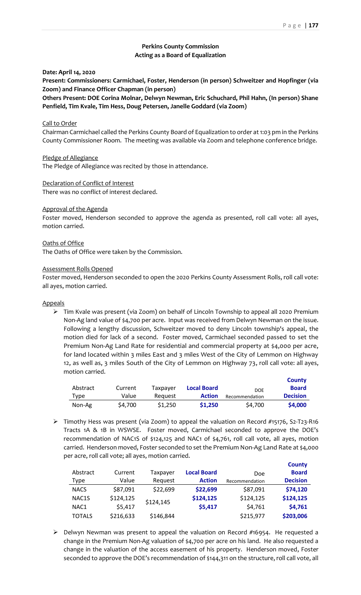**County** 

# **Perkins County Commission Acting as a Board of Equalization**

**Date: April 14, 2020**

**Present: Commissioners: Carmichael, Foster, Henderson (in person) Schweitzer and Hopfinger (via Zoom) and Finance Officer Chapman (in person)**

**Others Present: DOE Corina Molnar, Delwyn Newman, Eric Schuchard, Phil Hahn, (In person) Shane Penfield, Tim Kvale, Tim Hess, Doug Petersen, Janelle Goddard (via Zoom)**

### Call to Order

Chairman Carmichael called the Perkins County Board of Equalization to order at 1:03 pm in the Perkins County Commissioner Room. The meeting was available via Zoom and telephone conference bridge.

### Pledge of Allegiance

The Pledge of Allegiance was recited by those in attendance.

### Declaration of Conflict of Interest

There was no conflict of interest declared.

### Approval of the Agenda

Foster moved, Henderson seconded to approve the agenda as presented, roll call vote: all ayes, motion carried.

### Oaths of Office

The Oaths of Office were taken by the Commission.

#### Assessment Rolls Opened

Foster moved, Henderson seconded to open the 2020 Perkins County Assessment Rolls, roll call vote: all ayes, motion carried.

### Appeals

➢ Tim Kvale was present (via Zoom) on behalf of Lincoln Township to appeal all 2020 Premium Non-Ag land value of \$4,700 per acre. Input was received from Delwyn Newman on the issue. Following a lengthy discussion, Schweitzer moved to deny Lincoln township's appeal, the motion died for lack of a second. Foster moved, Carmichael seconded passed to set the Premium Non-Ag Land Rate for residential and commercial property at \$4,000 per acre, for land located within 3 miles East and 3 miles West of the City of Lemmon on Highway 12, as well as, 3 miles South of the City of Lemmon on Highway 73, roll call vote: all ayes, motion carried.

|          |         |          |                    |                | <b>COUNTY</b>   |
|----------|---------|----------|--------------------|----------------|-----------------|
| Abstract | Current | Taxpaver | <b>Local Board</b> | <b>DOE</b>     | <b>Board</b>    |
| Type     | Value   | Reauest  | <b>Action</b>      | Recommendation | <b>Decision</b> |
| Non-Ag   | \$4.700 | \$1,250  | \$1,250            | \$4.700        | \$4,000         |

➢ Timothy Hess was present (via Zoom) to appeal the valuation on Record #15176, S2-T23-R16 Tracts 1A & 1B in WSWSE. Foster moved, Carmichael seconded to approve the DOE's recommendation of NAC1S of \$124,125 and NAC1 of \$4,761, roll call vote, all ayes, motion carried. Henderson moved, Foster seconded to set the Premium Non-Ag Land Rate at \$4,000 per acre, roll call vote; all ayes, motion carried.

|                    |           |           |                    |                | <b>County</b>   |
|--------------------|-----------|-----------|--------------------|----------------|-----------------|
| Abstract           | Current   | Taxpayer  | <b>Local Board</b> | Doe            | <b>Board</b>    |
| Type               | Value     | Request   | <b>Action</b>      | Recommendation | <b>Decision</b> |
| <b>NACS</b>        | \$87,091  | \$22,699  | \$22,699           | \$87,091       | \$74,120        |
| NAC <sub>1</sub> S | \$124,125 | \$124,145 | \$124,125          | \$124,125      | \$124,125       |
| NAC1               | \$5,417   |           | \$5,417            | \$4,761        | \$4,761         |
| <b>TOTALS</b>      | \$216,633 | \$146,844 |                    | \$215,977      | \$203,006       |

 $\triangleright$  Delwyn Newman was present to appeal the valuation on Record #16954. He requested a change in the Premium Non-Ag valuation of \$4,700 per acre on his land. He also requested a change in the valuation of the access easement of his property. Henderson moved, Foster seconded to approve the DOE's recommendation of \$144,311 on the structure, roll call vote, all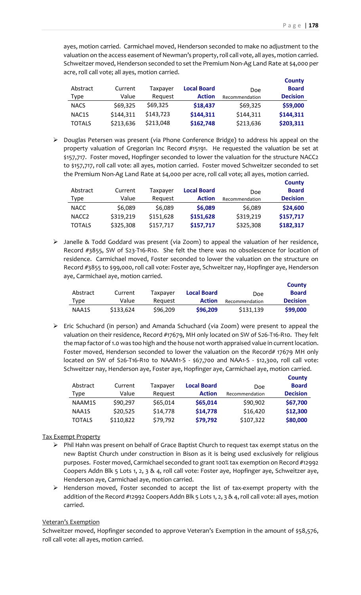ayes, motion carried. Carmichael moved, Henderson seconded to make no adjustment to the valuation on the access easement of Newman's property, roll call vote, all ayes, motion carried. Schweitzer moved, Henderson seconded to set the Premium Non-Ag Land Rate at \$4,000 per acre, roll call vote; all ayes, motion carried.

|                    |           |           |                    |                | <b>County</b>   |
|--------------------|-----------|-----------|--------------------|----------------|-----------------|
| Abstract           | Current   | Taxpayer  | <b>Local Board</b> | <b>Doe</b>     | <b>Board</b>    |
| Type               | Value     | Request   | <b>Action</b>      | Recommendation | <b>Decision</b> |
| <b>NACS</b>        | \$69,325  | \$69,325  | \$18,437           | \$69,325       | \$59,000        |
| NAC <sub>1</sub> S | \$144,311 | \$143,723 | \$144,311          | \$144,311      | \$144,311       |
| <b>TOTALS</b>      | \$213,636 | \$213,048 | \$162,748          | \$213,636      | \$203,311       |

➢ Douglas Petersen was present (via Phone Conference Bridge) to address his appeal on the property valuation of Gregorian Inc Record #15191. He requested the valuation be set at \$157,717. Foster moved, Hopfinger seconded to lower the valuation for the structure NACC2 to \$157,717, roll call vote: all ayes, motion carried. Foster moved Schweitzer seconded to set the Premium Non-Ag Land Rate at \$4,000 per acre, roll call vote; all ayes, motion carried.

|                   |           |           |                    |                | <b>County</b>   |
|-------------------|-----------|-----------|--------------------|----------------|-----------------|
| Abstract          | Current   | Taxpayer  | <b>Local Board</b> | <b>Doe</b>     | <b>Board</b>    |
| Type              | Value     | Request   | <b>Action</b>      | Recommendation | <b>Decision</b> |
| <b>NACC</b>       | \$6,089   | \$6,089   | \$6,089            | \$6,089        | \$24,600        |
| NACC <sub>2</sub> | \$319,219 | \$151,628 | \$151,628          | \$319,219      | \$157,717       |
| <b>TOTALS</b>     | \$325,308 | \$157,717 | \$157,717          | \$325,308      | \$182,317       |

➢ Janelle & Todd Goddard was present (via Zoom) to appeal the valuation of her residence, Record #3855, SW of S23-T16-R10. She felt the there was no obsolescence for location of residence. Carmichael moved, Foster seconded to lower the valuation on the structure on Record #3855 to \$99,000, roll call vote: Foster aye, Schweitzer nay, Hopfinger aye, Henderson aye, Carmichael aye, motion carried.

|          |           |          |                    |                | <b>County</b>   |
|----------|-----------|----------|--------------------|----------------|-----------------|
| Abstract | Current   | Taxpayer | <b>Local Board</b> | <b>Doe</b>     | <b>Board</b>    |
| Type     | Value     | Reauest  | <b>Action</b>      | Recommendation | <b>Decision</b> |
| NAA1S    | \$133,624 | \$96,209 | \$96,209           | \$131,139      | \$99,000        |

➢ Eric Schuchard (in person) and Amanda Schuchard (via Zoom) were present to appeal the valuation on their residence, Record #17679, MH only located on SW of S26-T16-R10. They felt the map factor of 1.0 was too high and the house not worth appraised value in current location. Foster moved, Henderson seconded to lower the valuation on the Record# 17679 MH only located on SW of S26-T16-R10 to NAAM1-S - \$67,700 and NAA1-S - \$12,300, roll call vote: Schweitzer nay, Henderson aye, Foster aye, Hopfinger aye, Carmichael aye, motion carried.

|               |           |          |                    |                | <b>County</b>   |
|---------------|-----------|----------|--------------------|----------------|-----------------|
| Abstract      | Current   | Taxpayer | <b>Local Board</b> | Doe            | <b>Board</b>    |
| Type          | Value     | Request  | <b>Action</b>      | Recommendation | <b>Decision</b> |
| NAAM1S        | \$90,297  | \$65,014 | \$65,014           | \$90,902       | \$67,700        |
| NAA1S         | \$20,525  | \$14,778 | \$14,778           | \$16,420       | \$12,300        |
| <b>TOTALS</b> | \$110,822 | \$79,792 | \$79,792           | \$107,322      | \$80,000        |

## Tax Exempt Property

- $\triangleright$  Phil Hahn was present on behalf of Grace Baptist Church to request tax exempt status on the new Baptist Church under construction in Bison as it is being used exclusively for religious purposes. Foster moved, Carmichael seconded to grant 100% tax exemption on Record #12992 Coopers Addn Blk 5 Lots 1, 2, 3 & 4, roll call vote: Foster aye, Hopfinger aye, Schweitzer aye, Henderson aye, Carmichael aye, motion carried.
- ➢ Henderson moved, Foster seconded to accept the list of tax-exempt property with the addition of the Record #12992 Coopers Addn Blk 5 Lots 1, 2, 3 & 4, roll call vote: all ayes, motion carried.

## Veteran's Exemption

Schweitzer moved, Hopfinger seconded to approve Veteran's Exemption in the amount of \$58,576, roll call vote: all ayes, motion carried.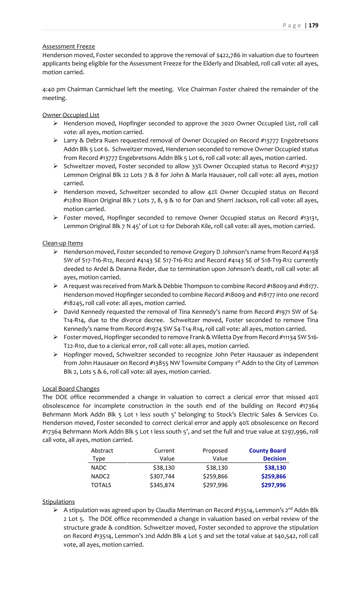# Assessment Freeze

Henderson moved, Foster seconded to approve the removal of \$422,786 in valuation due to fourteen applicants being eligible for the Assessment Freeze for the Elderly and Disabled, roll call vote: all ayes, motion carried.

4:40 pm Chairman Carmichael left the meeting. Vice Chairman Foster chaired the remainder of the meeting.

Owner Occupied List

- ➢ Henderson moved, Hopfinger seconded to approve the 2020 Owner Occupied List, roll call vote: all ayes, motion carried.
- $\triangleright$  Larry & Debra Ruen requested removal of Owner Occupied on Record #13777 Engebretsons Addn Blk 5 Lot 6. Schweitzer moved, Henderson seconded to remove Owner Occupied status from Record #13777 Engebretsons Addn Blk 5 Lot 6, roll call vote: all ayes, motion carried.
- ➢ Schweitzer moved, Foster seconded to allow 33% Owner Occupied status to Record #13237 Lemmon Original Blk 22 Lots 7 & 8 for John & Marla Hausauer, roll call vote: all ayes, motion carried.
- ➢ Henderson moved, Schweitzer seconded to allow 42% Owner Occupied status on Record #12810 Bison Original Blk 7 Lots 7, 8, 9 & 10 for Dan and Sherri Jackson, roll call vote: all ayes, motion carried.
- $\triangleright$  Foster moved, Hopfinger seconded to remove Owner Occupied status on Record #13131, Lemmon Original Blk 7 N 45' of Lot 12 for Deborah Kile, roll call vote: all ayes, motion carried.

## Clean-up Items

- ➢ Henderson moved, Foster seconded to remove Gregory D Johnson's name from Record #4138 SW of S17-T16-R12, Record #4143 SE S17-T16-R12 and Record #4143 SE of S18-T19-R12 currently deeded to Ardel & Deanna Reder, due to termination upon Johnson's death, roll call vote: all ayes, motion carried.
- ➢ A request was received from Mark & Debbie Thompson to combine Record #18009 and #18177. Henderson moved Hopfinger seconded to combine Record #18009 and #18177 into one record #18245, roll call vote: all ayes, motion carried.
- ➢ David Kennedy requested the removal of Tina Kennedy's name from Record #1971 SW of S4- T14-R14, due to the divorce decree. Schweitzer moved, Foster seconded to remove Tina Kennedy's name from Record #1974 SW S4-T14-R14, roll call vote: all ayes, motion carried.
- ➢ Foster moved, Hopfinger seconded to remove Frank & Wiletta Dye from Record #11134 SW S16- T22-R10, due to a clerical error, roll call vote: all ayes, motion carried.
- ➢ Hopfinger moved, Schweitzer seconded to recognize John Peter Hausauer as independent from John Hausauer on Record #13855 NW Townsite Company 1<sup>st</sup> Addn to the City of Lemmon Blk 2, Lots 5 & 6, roll call vote: all ayes, motion carried.

# Local Board Changes

The DOE office recommended a change in valuation to correct a clerical error that missed 40% obsolescence for incomplete construction in the south end of the building on Record #17364 Behrmann Mork Addn Blk 5 Lot 1 less south 5' belonging to Stock's Electric Sales & Services Co. Henderson moved, Foster seconded to correct clerical error and apply 40% obsolescence on Record #17364 Behrmann Mork Addn Blk 5 Lot 1 less south 5', and set the full and true value at \$297,996, roll call vote, all ayes, motion carried.

| Abstract          | Current   | Proposed  | <b>County Board</b> |
|-------------------|-----------|-----------|---------------------|
| Type              | Value     | Value     | <b>Decision</b>     |
| <b>NADC</b>       | \$38,130  | \$38,130  | \$38,130            |
| NADC <sub>2</sub> | \$307,744 | \$259,866 | \$259,866           |
| <b>TOTALS</b>     | \$345,874 | \$297,996 | \$297,996           |

# **Stipulations**

 $\triangleright$  A stipulation was agreed upon by Claudia Merriman on Record #13514, Lemmon's 2<sup>nd</sup> Addn Blk 2 Lot 5. The DOE office recommended a change in valuation based on verbal review of the structure grade & condition. Schweitzer moved, Foster seconded to approve the stipulation on Record #13514, Lemmon's 2nd Addn Blk 4 Lot 5 and set the total value at \$40,542, roll call vote, all ayes, motion carried.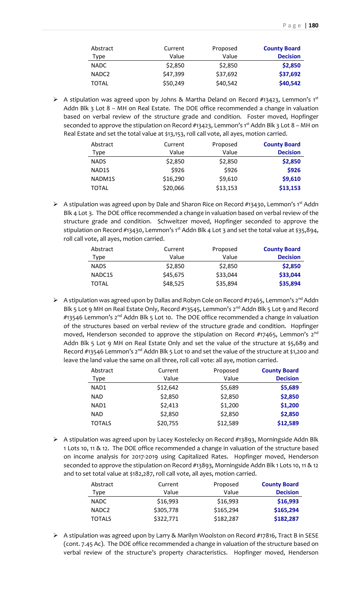| Abstract          | Current  | Proposed | <b>County Board</b> |
|-------------------|----------|----------|---------------------|
| Type              | Value    | Value    | <b>Decision</b>     |
| <b>NADC</b>       | \$2,850  | \$2,850  | \$2,850             |
| NADC <sub>2</sub> | \$47,399 | \$37,692 | \$37,692            |
| <b>TOTAL</b>      | \$50,249 | \$40,542 | \$40,542            |

 $\triangleright$  A stipulation was agreed upon by Johns & Martha Deland on Record #13423, Lemmon's 1<sup>st</sup> Addn Blk 3 Lot 8 - MH on Real Estate. The DOE office recommended a change in valuation based on verbal review of the structure grade and condition. Foster moved, Hopfinger seconded to approve the stipulation on Record #13423, Lemmon's 1<sup>st</sup> Addn Blk 3 Lot 8 - MH on Real Estate and set the total value at \$13,153, roll call vote, all ayes, motion carried.

| Abstract           | Current  | Proposed | <b>County Board</b> |
|--------------------|----------|----------|---------------------|
| Type               | Value    | Value    | <b>Decision</b>     |
| <b>NADS</b>        | \$2,850  | \$2,850  | \$2,850             |
| NAD <sub>1</sub> S | \$926    | \$926    | \$926               |
| NADM1S             | \$16,290 | \$9,610  | \$9,610             |
| TOTAL              | \$20,066 | \$13,153 | \$13,153            |

➢ A stipulation was agreed upon by Dale and Sharon Rice on Record #13430, Lemmon's 1st Addn Blk 4 Lot 3. The DOE office recommended a change in valuation based on verbal review of the structure grade and condition. Schweitzer moved, Hopfinger seconded to approve the stipulation on Record #13430, Lemmon's 1st Addn Blk 4 Lot 3 and set the total value at \$35,894, roll call vote, all ayes, motion carried.

| Abstract<br>Type | Current<br>Value | Proposed<br>Value | <b>County Board</b><br><b>Decision</b> |
|------------------|------------------|-------------------|----------------------------------------|
| <b>NADS</b>      | \$2,850          | \$2,850           | \$2,850                                |
| NADC1S           | \$45,675         | \$33,044          | \$33,044                               |
| TOTAL            | \$48,525         | \$35,894          | \$35,894                               |

➢ A stipulation was agreed upon by Dallas and Robyn Cole on Record #17465, Lemmon's 2nd Addn Blk 5 Lot 9 MH on Real Estate Only, Record #13545, Lemmon's 2<sup>nd</sup> Addn Blk 5 Lot 9 and Record  $\#13546$  Lemmon's 2<sup>nd</sup> Addn Blk 5 Lot 10. The DOE office recommended a change in valuation of the structures based on verbal review of the structure grade and condition. Hopfinger moved, Henderson seconded to approve the stipulation on Record #17465, Lemmon's  $2<sup>nd</sup>$ Addn Blk 5 Lot 9 MH on Real Estate Only and set the value of the structure at \$5,689 and Record #13546 Lemmon's 2<sup>nd</sup> Addn Blk 5 Lot 10 and set the value of the structure at \$1,200 and leave the land value the same on all three, roll call vote: all aye, motion carried.

| Abstract      | Current  | Proposed | <b>County Board</b> |
|---------------|----------|----------|---------------------|
| Type          | Value    | Value    | <b>Decision</b>     |
| NAD1          | \$12,642 | \$5,689  | \$5,689             |
| <b>NAD</b>    | \$2,850  | \$2,850  | \$2,850             |
| NAD1          | \$2,413  | \$1,200  | \$1,200             |
| <b>NAD</b>    | \$2,850  | \$2,850  | \$2,850             |
| <b>TOTALS</b> | \$20,755 | \$12,589 | \$12,589            |

➢ A stipulation was agreed upon by Lacey Kostelecky on Record #13893, Morningside Addn Blk 1 Lots 10, 11 & 12. The DOE office recommended a change in valuation of the structure based on income analysis for 2017-2019 using Capitalized Rates. Hopfinger moved, Henderson seconded to approve the stipulation on Record #13893, Morningside Addn Blk 1 Lots 10, 11 & 12 and to set total value at \$182,287, roll call vote, all ayes, motion carried.

| Abstract          | Current   | Proposed  | <b>County Board</b> |
|-------------------|-----------|-----------|---------------------|
| Type              | Value     | Value     | <b>Decision</b>     |
| <b>NADC</b>       | \$16,993  | \$16,993  | \$16,993            |
| NADC <sub>2</sub> | \$305,778 | \$165,294 | \$165,294           |
| <b>TOTALS</b>     | \$322,771 | \$182,287 | \$182,287           |

➢ A stipulation was agreed upon by Larry & Marilyn Woolston on Record #17816, Tract B in SESE (cont. 7.45 Ac). The DOE office recommended a change in valuation of the structure based on verbal review of the structure's property characteristics. Hopfinger moved, Henderson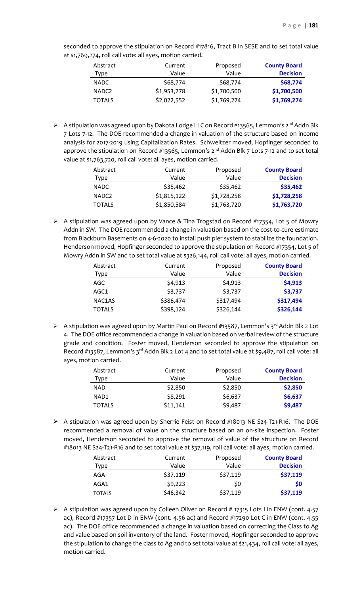seconded to approve the stipulation on Record #17816, Tract B in SESE and to set total value at \$1,769,274, roll call vote: all ayes, motion carried.

| Abstract<br>Type  | Current<br>Value | Proposed<br>Value | <b>County Board</b><br><b>Decision</b> |
|-------------------|------------------|-------------------|----------------------------------------|
| NADC.             | \$68,774         | \$68,774          | \$68,774                               |
| NADC <sub>2</sub> | \$1,953,778      | \$1,700,500       | \$1,700,500                            |
| <b>TOTALS</b>     | \$2,022,552      | \$1,769,274       | \$1,769,274                            |

➢ A stipulation was agreed upon by Dakota Lodge LLC on Record #13565, Lemmon's 2nd Addn Blk 7 Lots 7-12. The DOE recommended a change in valuation of the structure based on income analysis for 2017-2019 using Capitalization Rates. Schweitzer moved, Hopfinger seconded to approve the stipulation on Record #13565, Lemmon's  $2^{nd}$  Addn Blk 7 Lots 7-12 and to set total value at \$1,763,720, roll call vote: all ayes, motion carried.

| Abstract          | Current     | Proposed    | <b>County Board</b> |
|-------------------|-------------|-------------|---------------------|
| Type              | Value       | Value       | <b>Decision</b>     |
| <b>NADC</b>       | \$35,462    | \$35,462    | \$35,462            |
| NADC <sub>2</sub> | \$1,815,122 | \$1,728,258 | \$1,728,258         |
| <b>TOTALS</b>     | \$1,850,584 | \$1,763,720 | \$1,763,720         |

➢ A stipulation was agreed upon by Vance & Tina Trogstad on Record #17354, Lot 5 of Mowry Addn in SW. The DOE recommended a change in valuation based on the cost-to-cure estimate from Blackburn Basements on 4-6-2020 to install push pier system to stabilize the foundation. Henderson moved, Hopfinger seconded to approve the stipulation on Record #17354, Lot 5 of Mowry Addn in SW and to set total value at \$326,144, roll call vote: all ayes, motion carried.

| Abstract      | Current   | Proposed  | <b>County Board</b> |
|---------------|-----------|-----------|---------------------|
| Type          | Value     | Value     | <b>Decision</b>     |
| AGC           | \$4,913   | \$4,913   | \$4,913             |
| AGC1          | \$3,737   | \$3,737   | \$3,737             |
| NAC1AS        | \$386,474 | \$317,494 | \$317,494           |
| <b>TOTALS</b> | \$398,124 | \$326,144 | \$326,144           |

▶ A stipulation was agreed upon by Martin Paul on Record #13587, Lemmon's 3<sup>rd</sup> Addn Blk 2 Lot 4. The DOE office recommended a change in valuation based on verbal review of the structure grade and condition. Foster moved, Henderson seconded to approve the stipulation on Record #13587, Lemmon's 3<sup>rd</sup> Addn Blk 2 Lot 4 and to set total value at \$9,487, roll call vote: all ayes, motion carried.

| Abstract      | Current  | Proposed | <b>County Board</b> |
|---------------|----------|----------|---------------------|
| Type          | Value    | Value    | <b>Decision</b>     |
| <b>NAD</b>    | \$2,850  | \$2,850  | \$2,850             |
| NAD1          | \$8,291  | \$6,637  | \$6,637             |
| <b>TOTALS</b> | \$11,141 | \$9,487  | \$9,487             |

➢ A stipulation was agreed upon by Sherrie Feist on Record #18013 NE S24-T21-R16. The DOE recommended a removal of value on the structure based on an on-site inspection. Foster moved, Henderson seconded to approve the removal of value of the structure on Record #18013 NE S24-T21-R16 and to set total value at \$37,119, roll call vote: all ayes, motion carried.

| Abstract      | Current  | Proposed | <b>County Board</b> |
|---------------|----------|----------|---------------------|
| <b>Type</b>   | Value    | Value    | <b>Decision</b>     |
| AGA           | \$37,119 | \$37,119 | \$37,119            |
| AGA1          | \$9,223  | \$0      | \$0                 |
| <b>TOTALS</b> | \$46,342 | \$37,119 | \$37,119            |

➢ A stipulation was agreed upon by Colleen Oliver on Record # 17315 Lots I in ENW (cont. 4.57 ac), Record #17357 Lot D in ENW (cont. 4.56 ac) and Record #17290 Lot C in ENW (cont. 4.55 ac). The DOE office recommended a change in valuation based on correcting the Class to Ag and value based on soil inventory of the land. Foster moved, Hopfinger seconded to approve the stipulation to change the class to Ag and to set total value at \$21,434, roll call vote: all ayes, motion carried.